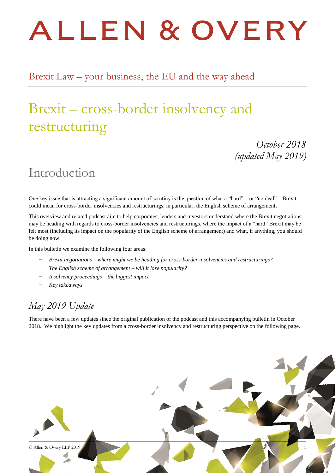# ALLEN & OVERY

Brexit Law – your business, the EU and the way ahead

# Brexit – cross-border insolvency and restructuring

*October 2018 (updated May 2019)*

### Introduction

One key issue that is attracting a significant amount of scrutiny is the question of what a "hard" – or "no deal" – Brexit could mean for cross-border insolvencies and restructurings, in particular, the English scheme of arrangement.

This overview and related podcast aim to help corporates, lenders and investors understand where the Brexit negotiations may be heading with regards to cross-border insolvencies and restructurings, where the impact of a "hard" Brexit may be felt most (including its impact on the popularity of the English scheme of arrangement) and what, if anything, you should be doing now.

In this bulletin we examine the following four areas:

- − *Brexit negotiations – where might we be heading for cross-border insolvencies and restructurings?*
- − *The English scheme of arrangement – will it lose popularity?*
- − *Insolvency proceedings – the biggest impact*
- − *Key takeaways*

#### *May 2019 Update*

There have been a few updates since the original publication of the podcast and this accompanying bulletin in October 2018. We highlight the key updates from a cross-border insolvency and restructuring perspective on the following page.

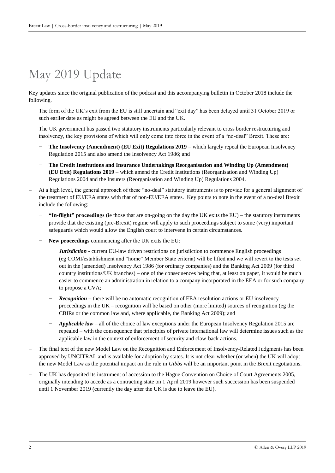# May 2019 Update

Key updates since the original publication of the podcast and this accompanying bulletin in October 2018 include the following.

- The form of the UK's exit from the EU is still uncertain and "exit day" has been delayed until 31 October 2019 or such earlier date as might be agreed between the EU and the UK.
- The UK government has passed two statutory instruments particularly relevant to cross border restructuring and insolvency, the key provisions of which will only come into force in the event of a "no-deal" Brexit. These are:
	- − **The Insolvency (Amendment) (EU Exit) Regulations 2019** which largely repeal the European Insolvency Regulation 2015 and also amend the Insolvency Act 1986; and
	- − **The Credit Institutions and Insurance Undertakings Reorganisation and Winding Up (Amendment) (EU Exit) Regulations 2019** – which amend the Credit Institutions (Reorganisation and Winding Up) Regulations 2004 and the Insurers (Reorganisation and Winding Up) Regulations 2004.
- At a high level, the general approach of these "no-deal" statutory instruments is to provide for a general alignment of the treatment of EU/EEA states with that of non-EU/EEA states. Key points to note in the event of a no-deal Brexit include the following:
	- − **"In-flight" proceedings** (ie those that are on-going on the day the UK exits the EU) the statutory instruments provide that the existing (pre-Brexit) regime will apply to such proceedings subject to some (very) important safeguards which would allow the English court to intervene in certain circumstances.
	- − **New proceedings** commencing after the UK exits the EU:
		- *Jurisdiction* current EU-law driven restrictions on jurisdiction to commence English proceedings (eg COMI/establishment and "home" Member State criteria) will be lifted and we will revert to the tests set out in the (amended) Insolvency Act 1986 (for ordinary companies) and the Banking Act 2009 (for third country institutions/UK branches) – one of the consequences being that, at least on paper, it would be much easier to commence an administration in relation to a company incorporated in the EEA or for such company to propose a CVA;
		- *Recognition* there will be no automatic recognition of EEA resolution actions or EU insolvency proceedings in the UK – recognition will be based on other (more limited) sources of recognition (eg the CBIRs or the common law and, where applicable, the Banking Act 2009); and
		- *Applicable law* all of the choice of law exceptions under the European Insolvency Regulation 2015 are repealed – with the consequence that principles of private international law will determine issues such as the applicable law in the context of enforcement of security and claw-back actions.
- The final text of the new Model Law on the Recognition and Enforcement of Insolvency-Related Judgments has been approved by UNCITRAL and is available for adoption by states. It is not clear whether (or when) the UK will adopt the new Model Law as the potential impact on the rule in *Gibbs* will be an important point in the Brexit negotiations.
- The UK has deposited its instrument of accession to the Hague Convention on Choice of Court Agreements 2005, originally intending to accede as a contracting state on 1 April 2019 however such succession has been suspended until 1 November 2019 (currently the day after the UK is due to leave the EU).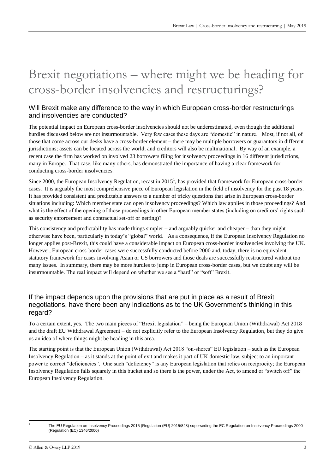# Brexit negotiations – where might we be heading for cross-border insolvencies and restructurings?

#### Will Brexit make any difference to the way in which European cross-border restructurings and insolvencies are conducted?

The potential impact on European cross-border insolvencies should not be underestimated, even though the additional hurdles discussed below are not insurmountable. Very few cases these days are "domestic" in nature. Most, if not all, of those that come across our desks have a cross-border element – there may be multiple borrowers or guarantors in different jurisdictions; assets can be located across the world; and creditors will also be multinational. By way of an example, a recent case the firm has worked on involved 23 borrowers filing for insolvency proceedings in 16 different jurisdictions, many in Europe. That case, like many others, has demonstrated the importance of having a clear framework for conducting cross-border insolvencies.

Since 2000, the European Insolvency Regulation, recast in  $2015<sup>1</sup>$ , has provided that framework for European cross-border cases. It is arguably the most comprehensive piece of European legislation in the field of insolvency for the past 18 years. It has provided consistent and predictable answers to a number of tricky questions that arise in European cross-border situations including: Which member state can open insolvency proceedings? Which law applies in those proceedings? And what is the effect of the opening of those proceedings in other European member states (including on creditors' rights such as security enforcement and contractual set-off or netting)?

This consistency and predictability has made things simpler – and arguably quicker and cheaper – than they might otherwise have been, particularly in today's "global" world. As a consequence, if the European Insolvency Regulation no longer applies post-Brexit, this could have a considerable impact on European cross-border insolvencies involving the UK. However, European cross-border cases were successfully conducted before 2000 and, today, there is no equivalent statutory framework for cases involving Asian or US borrowers and those deals are successfully restructured without too many issues. In summary, there may be more hurdles to jump in European cross-border cases, but we doubt any will be insurmountable. The real impact will depend on whether we see a "hard" or "soft" Brexit.

#### If the impact depends upon the provisions that are put in place as a result of Brexit negotiations, have there been any indications as to the UK Government's thinking in this regard?

To a certain extent, yes. The two main pieces of "Brexit legislation" – being the European Union (Withdrawal) Act 2018 and the draft EU Withdrawal Agreement – do not explicitly refer to the European Insolvency Regulation, but they do give us an idea of where things might be heading in this area.

The starting point is that the European Union (Withdrawal) Act 2018 "on-shores" EU legislation – such as the European Insolvency Regulation – as it stands at the point of exit and makes it part of UK domestic law, subject to an important power to correct "deficiencies". One such "deficiency" is any European legislation that relies on reciprocity; the European Insolvency Regulation falls squarely in this bucket and so there is the power, under the Act, to amend or "switch off" the European Insolvency Regulation.

<sup>1</sup> 1

The EU Regulation on Insolvency Proceedings 2015 (Regulation (EU) 2015/848) superseding the EC Regulation on Insolvency Proceedings 2000 (Regulation (EC) 1346/2000)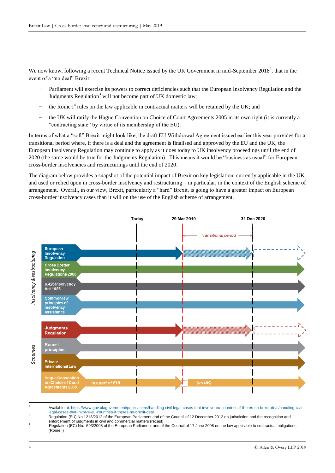We now know, following a recent Technical Notice issued by the UK Government in mid-September  $2018^2$ , that in the event of a "no deal" Brexit:

- Parliament will exercise its powers to correct deficiencies such that the European Insolvency Regulation and the Judgments Regulation<sup>3</sup> will not become part of UK domestic law;
- − the Rome I<sup>4</sup> rules on the law applicable in contractual matters will be retained by the UK; and
- the UK will ratify the Hague Convention on Choice of Court Agreements 2005 in its own right (it is currently a "contracting state" by virtue of its membership of the EU).

In terms of what a "soft" Brexit might look like, the draft EU Withdrawal Agreement issued earlier this year provides for a transitional period where, if there is a deal and the agreement is finalised and approved by the EU and the UK, the European Insolvency Regulation may continue to apply as it does today to UK insolvency proceedings until the end of 2020 (the same would be true for the Judgments Regulation). This means it would be "business as usual" for European cross-border insolvencies and restructurings until the end of 2020.

The diagram below provides a snapshot of the potential impact of Brexit on key legislation, currently applicable in the UK and used or relied upon in cross-border insolvency and restructuring – in particular, in the context of the English scheme of arrangement. Overall, in our view, Brexit, particularly a "hard" Brexit, is going to have a greater impact on European cross-border insolvency cases than it will on the use of the English scheme of arrangement.



 $\sim$ <sup>2</sup> Available at[: https://www.gov.uk/government/publications/handling-civil-legal-cases-that-involve-eu-countries-if-theres-no-brexit-deal/handling-civil](https://www.gov.uk/government/publications/handling-civil-legal-cases-that-involve-eu-countries-if-theres-no-brexit-deal/handling-civil-legal-cases-that-involve-eu-countries-if-theres-no-brexit-deal)[legal-cases-that-involve-eu-countries-if-theres-no-brexit-deal](https://www.gov.uk/government/publications/handling-civil-legal-cases-that-involve-eu-countries-if-theres-no-brexit-deal/handling-civil-legal-cases-that-involve-eu-countries-if-theres-no-brexit-deal)

Regulation (EU) No.1215/2012 of the European Parliament and of the Council of 12 December 2012 on jurisdiction and the recognition and enforcement of judgments in civil and commercial matters (recast)

<sup>4</sup> Regulation (EC) No. 593/2008 of the European Parliament and of the Council of 17 June 2008 on the law applicable to contractual obligations (Rome I)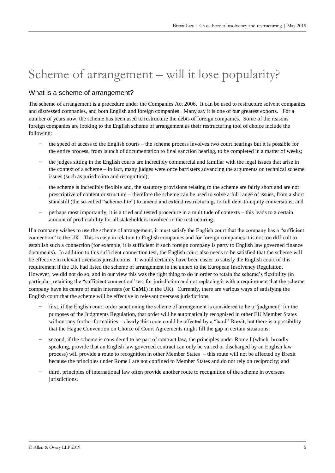# Scheme of arrangement – will it lose popularity?

#### What is a scheme of arrangement?

The scheme of arrangement is a procedure under the Companies Act 2006. It can be used to restructure solvent companies and distressed companies, and both English and foreign companies. Many say it is one of our greatest exports. For a number of years now, the scheme has been used to restructure the debts of foreign companies. Some of the reasons foreign companies are looking to the English scheme of arrangement as their restructuring tool of choice include the following:

- the speed of access to the English courts the scheme process involves two court hearings but it is possible for the entire process, from launch of documentation to final sanction hearing, to be completed in a matter of weeks;
- − the judges sitting in the English courts are incredibly commercial and familiar with the legal issues that arise in the context of a scheme – in fact, many judges were once barristers advancing the arguments on technical scheme issues (such as jurisdiction and recognition);
- the scheme is incredibly flexible and, the statutory provisions relating to the scheme are fairly short and are not prescriptive of content or structure – therefore the scheme can be used to solve a full range of issues, from a short standstill (the so-called "scheme-lite") to amend and extend restructurings to full debt-to-equity conversions; and
- − perhaps most importantly, it is a tried and tested procedure in a multitude of contexts this leads to a certain amount of predictability for all stakeholders involved in the restructuring.

If a company wishes to use the scheme of arrangement, it must satisfy the English court that the company has a "sufficient connection" to the UK. This is easy in relation to English companies and for foreign companies it is not too difficult to establish such a connection (for example, it is sufficient if such foreign company is party to English law governed finance documents). In addition to this sufficient connection test, the English court also needs to be satisfied that the scheme will be effective in relevant overseas jurisdictions. It would certainly have been easier to satisfy the English court of this requirement if the UK had listed the scheme of arrangement in the annex to the European Insolvency Regulation. However, we did not do so, and in our view this was the right thing to do in order to retain the scheme's flexibility (in particular, retaining the "sufficient connection" test for jurisdiction and not replacing it with a requirement that the scheme company have its centre of main interests (or **CoMI**) in the UK). Currently, there are various ways of satisfying the English court that the scheme will be effective in relevant overseas jurisdictions:

- first, if the English court order sanctioning the scheme of arrangement is considered to be a "judgment" for the purposes of the Judgments Regulation, that order will be automatically recognised in other EU Member States without any further formalities – clearly this route could be affected by a "hard" Brexit, but there is a possibility that the Hague Convention on Choice of Court Agreements might fill the gap in certain situations;
- second, if the scheme is considered to be part of contract law, the principles under Rome I (which, broadly speaking, provide that an English law governed contract can only be varied or discharged by an English law process) will provide a route to recognition in other Member States – this route will not be affected by Brexit because the principles under Rome I are not confined to Member States and do not rely on reciprocity; and
- − third, principles of international law often provide another route to recognition of the scheme in overseas jurisdictions.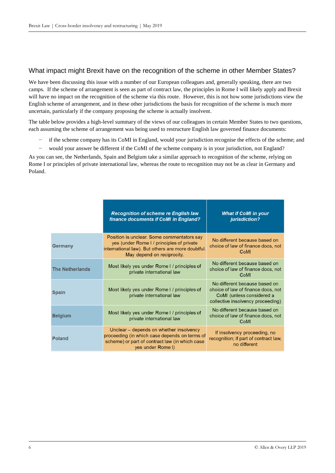#### What impact might Brexit have on the recognition of the scheme in other Member States?

We have been discussing this issue with a number of our European colleagues and, generally speaking, there are two camps. If the scheme of arrangement is seen as part of contract law, the principles in Rome I will likely apply and Brexit will have no impact on the recognition of the scheme via this route. However, this is not how some jurisdictions view the English scheme of arrangement, and in these other jurisdictions the basis for recognition of the scheme is much more uncertain, particularly if the company proposing the scheme is actually insolvent.

The table below provides a high-level summary of the views of our colleagues in certain Member States to two questions, each assuming the scheme of arrangement was being used to restructure English law governed finance documents:

- − if the scheme company has its CoMI in England, would your jurisdiction recognise the effects of the scheme; and
- would your answer be different if the CoMI of the scheme company is in your jurisdiction, not England?

As you can see, the Netherlands, Spain and Belgium take a similar approach to recognition of the scheme, relying on Rome I or principles of private international law, whereas the route to recognition may not be as clear in Germany and Poland.

|                        | <b>Recognition of scheme re English law</b><br>finance documents if CoMI in England?                                                                                       | <b>What if CoMI in your</b><br>jurisdiction?                                                                                          |  |
|------------------------|----------------------------------------------------------------------------------------------------------------------------------------------------------------------------|---------------------------------------------------------------------------------------------------------------------------------------|--|
| Germany                | Position is unclear. Some commentators say<br>yes (under Rome I / principles of private<br>international law). But others are more doubtful.<br>May depend on reciprocity. | No different because based on<br>choice of law of finance docs, not<br>CoMI                                                           |  |
| <b>The Netherlands</b> | Most likely yes under Rome I / principles of<br>private international law                                                                                                  | No different because based on<br>choice of law of finance docs, not<br>CoMI                                                           |  |
| <b>Spain</b>           | Most likely yes under Rome I / principles of<br>private international law                                                                                                  | No different because based on<br>choice of law of finance docs, not<br>CoMI (unless considered a<br>collective insolvency proceeding) |  |
| <b>Belgium</b>         | Most likely yes under Rome I / principles of<br>private international law                                                                                                  | No different because based on<br>choice of law of finance docs, not<br>CoMI                                                           |  |
| <b>Poland</b>          | Unclear – depends on whether insolvency<br>proceeding (in which case depends on terms of<br>scheme) or part of contract law (in which case<br>yes under Rome I)            | If insolvency proceeding, no<br>recognition; if part of contract law,<br>no different                                                 |  |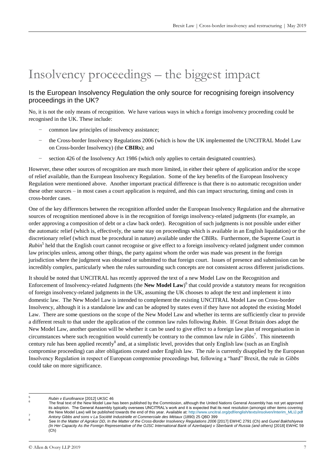# Insolvency proceedings – the biggest impact

#### Is the European Insolvency Regulation the only source for recognising foreign insolvency proceedings in the UK?

No, it is not the only means of recognition. We have various ways in which a foreign insolvency proceeding could be recognised in the UK. These include:

- common law principles of insolvency assistance;
- the Cross-border Insolvency Regulations 2006 (which is how the UK implemented the UNCITRAL Model Law on Cross-border Insolvency) (the **CBIRs**); and
- section 426 of the Insolvency Act 1986 (which only applies to certain designated countries).

However, these other sources of recognition are much more limited, in either their sphere of application and/or the scope of relief available, than the European Insolvency Regulation. Some of the key benefits of the European Insolvency Regulation were mentioned above. Another important practical difference is that there is no automatic recognition under these other sources – in most cases a court application is required, and this can impact structuring, timing and costs in cross-border cases.

One of the key differences between the recognition afforded under the European Insolvency Regulation and the alternative sources of recognition mentioned above is in the recognition of foreign insolvency-related judgments (for example, an order approving a composition of debt or a claw back order). Recognition of such judgments is not possible under either the automatic relief (which is, effectively, the same stay on proceedings which is available in an English liquidation) or the discretionary relief (which must be procedural in nature) available under the CBIRs. Furthermore, the Supreme Court in *Rubin*<sup>5</sup> held that the English court cannot recognise or give effect to a foreign insolvency-related judgment under common law principles unless, among other things, the party against whom the order was made was present in the foreign jurisdiction where the judgment was obtained or submitted to that foreign court. Issues of presence and submission can be incredibly complex, particularly when the rules surrounding such concepts are not consistent across different jurisdictions.

It should be noted that UNCITRAL has recently approved the text of a new Model Law on the Recognition and Enforcement of Insolvency-related Judgments (the **New Model Law**) 6 that could provide a statutory means for recognition of foreign insolvency-related judgments in the UK, assuming the UK chooses to adopt the text and implement it into domestic law. The New Model Law is intended to complement the existing UNCITRAL Model Law on Cross-border Insolvency, although it is a standalone law and can be adopted by states even if they have not adopted the existing Model Law. There are some questions on the scope of the New Model Law and whether its terms are sufficiently clear to provide a different result to that under the application of the common law rules following *Rubin*. If Great Britain does adopt the New Model Law, another question will be whether it can be used to give effect to a foreign law plan of reorganisation in circumstances where such recognition would currently be contrary to the common law rule in *Gibbs*<sup>7</sup> . This nineteenth century rule has been applied recently<sup>8</sup> and, at a simplistic level, provides that only English law (such as an English compromise proceeding) can alter obligations created under English law. The rule is currently disapplied by the European Insolvency Regulation in respect of European compromise proceedings but, following a "hard" Brexit, the rule in *Gibbs* could take on more significance.

5 <sup>5</sup> *Rubin v Eurofinance* [2012] UKSC 46 6

The final text of the New Model Law has been published by the Commission, although the United Nations General Assembly has not yet approved its adoption. The General Assembly typically oversees UNCITRAL's work and it is expected that its next resolution (amongst other items covering the New Model Law) will be published towards the end of this year. Available at[: http://www.uncitral.org/pdf/english/texts/insolven/Interim\\_MLIJ.pdf](http://www.uncitral.org/pdf/english/texts/insolven/Interim_MLIJ.pdf) <sup>7</sup> *Antony Gibbs and sons v La Société Industrielle et Commerciale des Métaux* (1890) 25 QBD 399

See In the Matter of Agrokor DD, In the Matter of the Cross-Border Insolvency Regulations 2006 [2017] EWHC 2791 (Ch) and Gunel Bakhshiyeva *(In Her Capacity As the Foreign Representative of the OJSC International Bank of Azerbaijan) v Sberbank of Russia (and others)* [2018] EWHC 59  $(C<sub>h</sub>)$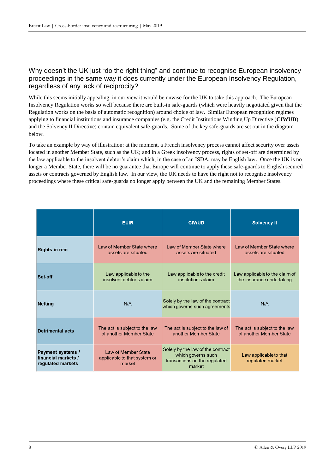#### Why doesn't the UK just "do the right thing" and continue to recognise European insolvency proceedings in the same way it does currently under the European Insolvency Regulation, regardless of any lack of reciprocity?

While this seems initially appealing, in our view it would be unwise for the UK to take this approach. The European Insolvency Regulation works so well because there are built-in safe-guards (which were heavily negotiated given that the Regulation works on the basis of automatic recognition) around choice of law. Similar European recognition regimes applying to financial institutions and insurance companies (e.g. the Credit Institutions Winding Up Directive (**CIWUD**) and the Solvency II Directive) contain equivalent safe-guards. Some of the key safe-guards are set out in the diagram below.

To take an example by way of illustration: at the moment, a French insolvency process cannot affect security over assets located in another Member State, such as the UK; and in a Greek insolvency process, rights of set-off are determined by the law applicable to the insolvent debtor's claim which, in the case of an ISDA, may be English law. Once the UK is no longer a Member State, there will be no guarantee that Europe will continue to apply these safe-guards to English secured assets or contracts governed by English law. In our view, the UK needs to have the right not to recognise insolvency proceedings where these critical safe-guards no longer apply between the UK and the remaining Member States.

|                                                               | <b>EUIR</b>                                                   | <b>CIWUD</b>                                                                                       | <b>Solvency II</b>                         |
|---------------------------------------------------------------|---------------------------------------------------------------|----------------------------------------------------------------------------------------------------|--------------------------------------------|
| Rights in rem                                                 | Law of Member State where                                     | Law of Member State where                                                                          | Law of Member State where                  |
|                                                               | assets are situated                                           | assets are situated                                                                                | assets are situated                        |
| Set-off                                                       | Law applicable to the                                         | Law applicable to the credit                                                                       | Law applicable to the claim of             |
|                                                               | insolvent debtor's claim                                      | institution's claim                                                                                | the insurance undertaking                  |
| <b>Netting</b>                                                | N/A                                                           | Solely by the law of the contract<br>which governs such agreements                                 | N/A                                        |
| <b>Detrimental acts</b>                                       | The act is subject to the law                                 | The act is subject to the law of                                                                   | The act is subject to the law              |
|                                                               | of another Member State                                       | another Member State                                                                               | of another Member State                    |
| Payment systems /<br>financial markets /<br>regulated markets | Law of Member State<br>applicable to that system or<br>market | Solely by the law of the contract<br>which governs such<br>transactions on the regulated<br>market | Law applicable to that<br>regulated market |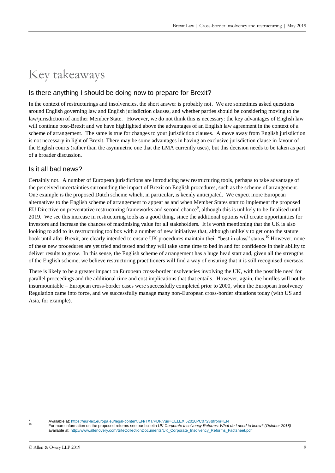# Key takeaways

#### Is there anything I should be doing now to prepare for Brexit?

In the context of restructurings and insolvencies, the short answer is probably not. We are sometimes asked questions around English governing law and English jurisdiction clauses, and whether parties should be considering moving to the law/jurisdiction of another Member State. However, we do not think this is necessary: the key advantages of English law will continue post-Brexit and we have highlighted above the advantages of an English law agreement in the context of a scheme of arrangement. The same is true for changes to your jurisdiction clauses. A move away from English jurisdiction is not necessary in light of Brexit. There may be some advantages in having an exclusive jurisdiction clause in favour of the English courts (rather than the asymmetric one that the LMA currently uses), but this decision needs to be taken as part of a broader discussion.

#### Is it all bad news?

Certainly not. A number of European jurisdictions are introducing new restructuring tools, perhaps to take advantage of the perceived uncertainties surrounding the impact of Brexit on English procedures, such as the scheme of arrangement. One example is the proposed Dutch scheme which, in particular, is keenly anticipated. We expect more European alternatives to the English scheme of arrangement to appear as and when Member States start to implement the proposed EU Directive on preventative restructuring frameworks and second chance<sup>9</sup>, although this is unlikely to be finalised until 2019. We see this increase in restructuring tools as a good thing, since the additional options will create opportunities for investors and increase the chances of maximising value for all stakeholders. It is worth mentioning that the UK is also looking to add to its restructuring toolbox with a number of new initiatives that, although unlikely to get onto the statute book until after Brexit, are clearly intended to ensure UK procedures maintain their "best in class" status.<sup>10</sup> However, none of these new procedures are yet tried and tested and they will take some time to bed in and for confidence in their ability to deliver results to grow. In this sense, the English scheme of arrangement has a huge head start and, given all the strengths of the English scheme, we believe restructuring practitioners will find a way of ensuring that it is still recognised overseas.

There is likely to be a greater impact on European cross-border insolvencies involving the UK, with the possible need for parallel proceedings and the additional time and cost implications that that entails. However, again, the hurdles will not be insurmountable – European cross-border cases were successfully completed prior to 2000, when the European Insolvency Regulation came into force, and we successfully manage many non-European cross-border situations today (with US and Asia, for example).

<sup>-</sup>

Available at[: https://eur-lex.europa.eu/legal-content/EN/TXT/PDF/?uri=CELEX:52016PC0723&from=EN](https://eur-lex.europa.eu/legal-content/EN/TXT/PDF/?uri=CELEX:52016PC0723&from=EN)

<sup>10</sup> For more information on the proposed reforms see our bulletin *UK Corporate Insolvency Reforms: What do I need to know? (October 2018)* available at: [http://www.allenovery.com/SiteCollectionDocuments/UK\\_Corporate\\_Insolvency\\_Reforms\\_Factsheet.pdf](http://www.allenovery.com/SiteCollectionDocuments/UK_Corporate_Insolvency_Reforms_Factsheet.pdf)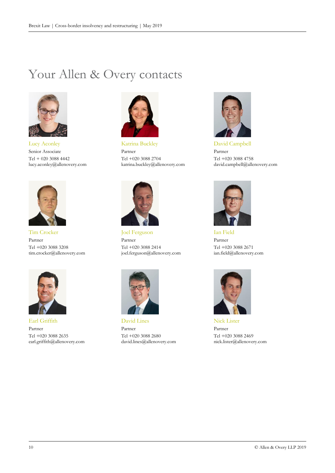## Your Allen & Overy contacts



Lucy Aconley Senior Associate Tel + 020 3088 4442 lucy.aconley@allenovery.com



Tim Crocker Partner Tel +020 3088 3208 tim.crocker@allenovery.com



Earl Griffith Partner Tel +020 3088 2635 earl.griffith@allenovery.com



Katrina Buckley Partner Tel +020 3088 2704 katrina.buckley@allenovery.com



Joel Ferguson Partner Tel +020 3088 2414 joel.ferguson@allenovery.com



David Lines Partner Tel +020 3088 2680 david.lines@allenovery.com



David Campbell Partner Tel +020 3088 4758 david.campbell@allenovery.com



Ian Field Partner Tel +020 3088 2671 ian.field@allenovery.com



Nick Lister Partner Tel +020 3088 2469 nick.lister@allenovery.com